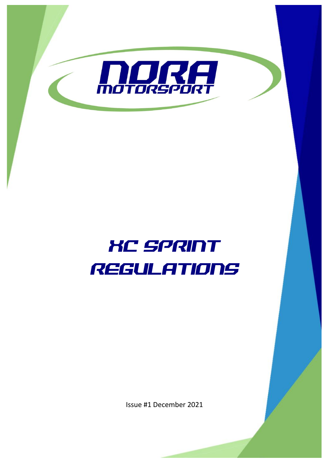

# XC SPRINT REGULATIONS

Issue #1 December 2021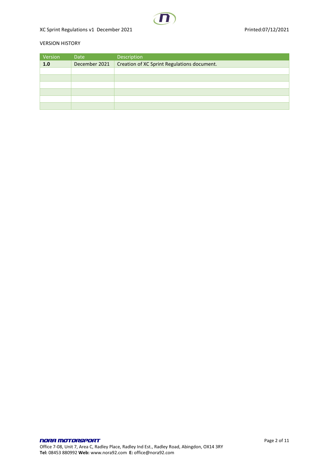

# XC Sprint Regulations v1 December 2021 and the control of the Printed:07/12/2021

# VERSION HISTORY

| Version | Date          | Description                                 |
|---------|---------------|---------------------------------------------|
| 1.0     | December 2021 | Creation of XC Sprint Regulations document. |
|         |               |                                             |
|         |               |                                             |
|         |               |                                             |
|         |               |                                             |
|         |               |                                             |
|         |               |                                             |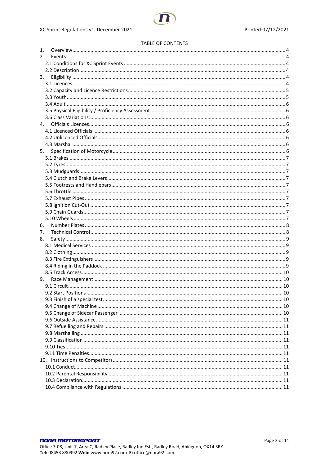#### TABLE OF CONTENTS

| 1. |    |  |
|----|----|--|
| 2. |    |  |
|    |    |  |
|    |    |  |
| 3. |    |  |
|    |    |  |
|    |    |  |
|    |    |  |
|    |    |  |
|    |    |  |
|    |    |  |
| 4. |    |  |
|    |    |  |
|    |    |  |
|    |    |  |
|    | 5. |  |
|    |    |  |
|    |    |  |
|    |    |  |
|    |    |  |
|    |    |  |
|    |    |  |
|    |    |  |
|    |    |  |
|    |    |  |
|    |    |  |
|    |    |  |
| 6. |    |  |
| 7. |    |  |
| 8. |    |  |
|    |    |  |
|    |    |  |
|    |    |  |
|    |    |  |
|    |    |  |
| 9. |    |  |
|    |    |  |
|    |    |  |
|    |    |  |
|    |    |  |
|    |    |  |
|    |    |  |
|    |    |  |
|    |    |  |
|    |    |  |
|    |    |  |
|    |    |  |
|    |    |  |
|    |    |  |
|    |    |  |
|    |    |  |
|    |    |  |
|    |    |  |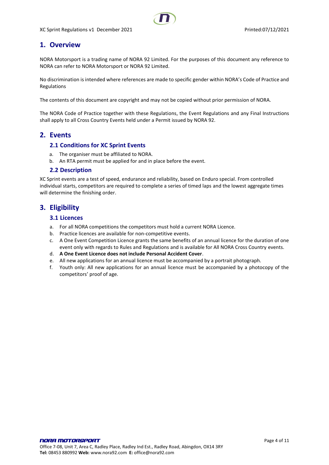# <span id="page-3-0"></span>**1. Overview**

NORA Motorsport is a trading name of NORA 92 Limited. For the purposes of this document any reference to NORA can refer to NORA Motorsport or NORA 92 Limited.

No discrimination is intended where references are made to specific gender within NORA's Code of Practice and Regulations

The contents of this document are copyright and may not be copied without prior permission of NORA.

The NORA Code of Practice together with these Regulations, the Event Regulations and any Final Instructions shall apply to all Cross Country Events held under a Permit issued by NORA 92.

# <span id="page-3-2"></span><span id="page-3-1"></span>**2. Events**

# **2.1 Conditions for XC Sprint Events**

- a. The organiser must be affiliated to NORA.
- b. An RTA permit must be applied for and in place before the event.

#### <span id="page-3-3"></span>**2.2 Description**

XC Sprint events are a test of speed, endurance and reliability, based on Enduro special. From controlled individual starts, competitors are required to complete a series of timed laps and the lowest aggregate times will determine the finishing order.

# <span id="page-3-5"></span><span id="page-3-4"></span>**3. Eligibility**

# **3.1 Licences**

- a. For all NORA competitions the competitors must hold a current NORA Licence.
- b. Practice licences are available for non-competitive events.
- c. A One Event Competition Licence grants the same benefits of an annual licence for the duration of one event only with regards to Rules and Regulations and is available for All NORA Cross Country events.
- d. **A One Event Licence does not include Personal Accident Cover**.
- e. All new applications for an annual licence must be accompanied by a portrait photograph.
- f. Youth only: All new applications for an annual licence must be accompanied by a photocopy of the competitors' proof of age.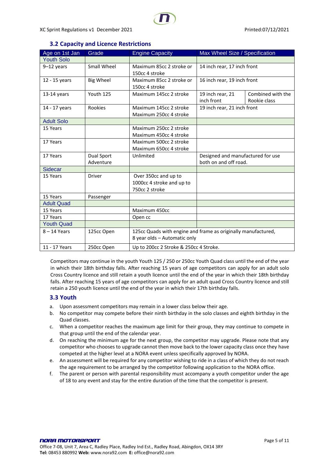# XC Sprint Regulations v1 December 2021 and the state of the Printed:07/12/2021

<span id="page-4-0"></span>

| Age on 1st Jan    | Grade            | <b>Engine Capacity</b>                                        | Max Wheel Size / Specification    |                   |
|-------------------|------------------|---------------------------------------------------------------|-----------------------------------|-------------------|
| <b>Youth Solo</b> |                  |                                                               |                                   |                   |
| $9-12$ years      | Small Wheel      | Maximum 85cc 2 stroke or                                      | 14 inch rear, 17 inch front       |                   |
|                   |                  | 150cc 4 stroke                                                |                                   |                   |
| 12 - 15 years     | <b>Big Wheel</b> | Maximum 85cc 2 stroke or                                      | 16 inch rear, 19 inch front       |                   |
|                   |                  | 150cc 4 stroke                                                |                                   |                   |
| 13-14 years       | Youth 125        | Maximum 145cc 2 stroke                                        | 19 inch rear, 21                  | Combined with the |
|                   |                  |                                                               | inch front                        | Rookie class      |
| 14 - 17 years     | Rookies          | Maximum 145cc 2 stroke                                        | 19 inch rear, 21 inch front       |                   |
|                   |                  | Maximum 250cc 4 stroke                                        |                                   |                   |
| <b>Adult Solo</b> |                  |                                                               |                                   |                   |
| 15 Years          |                  | Maximum 250cc 2 stroke                                        |                                   |                   |
|                   |                  | Maximum 450cc 4 stroke                                        |                                   |                   |
| 17 Years          |                  | Maximum 500cc 2 stroke                                        |                                   |                   |
|                   |                  | Maximum 650cc 4 stroke                                        |                                   |                   |
| 17 Years          | Dual Sport       | Unlimited                                                     | Designed and manufactured for use |                   |
|                   | Adventure        |                                                               | both on and off road.             |                   |
| <b>Sidecar</b>    |                  |                                                               |                                   |                   |
| 15 Years          | <b>Driver</b>    | Over 350cc and up to                                          |                                   |                   |
|                   |                  | 1000cc 4 stroke and up to                                     |                                   |                   |
|                   |                  | 750cc 2 stroke                                                |                                   |                   |
| 15 Years          | Passenger        |                                                               |                                   |                   |
| <b>Adult Quad</b> |                  |                                                               |                                   |                   |
| 15 Years          |                  | Maximum 450cc                                                 |                                   |                   |
| 17 Years          |                  | Open cc                                                       |                                   |                   |
| <b>Youth Quad</b> |                  |                                                               |                                   |                   |
| $8 - 14$ Years    | 125cc Open       | 125cc Quads with engine and frame as originally manufactured, |                                   |                   |
|                   |                  | 8 year olds - Automatic only                                  |                                   |                   |
| 11 - 17 Years     | 250cc Open       | Up to 200cc 2 Stroke & 250cc 4 Stroke.                        |                                   |                   |

# **3.2 Capacity and Licence Restrictions**

Competitors may continue in the youth Youth 125 / 250 or 250cc Youth Quad class until the end of the year in which their 18th birthday falls. After reaching 15 years of age competitors can apply for an adult solo Cross Country licence and still retain a youth licence until the end of the year in which their 18th birthday falls. After reaching 15 years of age competitors can apply for an adult quad Cross Country licence and still retain a 250 youth licence until the end of the year in which their 17th birthday falls.

# <span id="page-4-1"></span>**3.3 Youth**

- a. Upon assessment competitors may remain in a lower class below their age.
- b. No competitor may compete before their ninth birthday in the solo classes and eighth birthday in the Quad classes.
- c. When a competitor reaches the maximum age limit for their group, they may continue to compete in that group until the end of the calendar year.
- d. On reaching the minimum age for the next group, the competitor may upgrade. Please note that any competitor who chooses to upgrade cannot then move back to the lower capacity class once they have competed at the higher level at a NORA event unless specifically approved by NORA.
- e. An assessment will be required for any competitor wishing to ride in a class of which they do not reach the age requirement to be arranged by the competitor following application to the NORA office.
- f. The parent or person with parental responsibility must accompany a youth competitor under the age of 18 to any event and stay for the entire duration of the time that the competitor is present.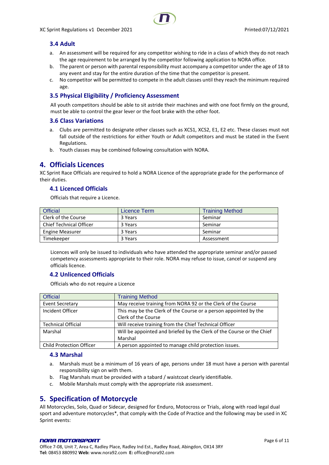# <span id="page-5-0"></span>**3.4 Adult**

- a. An assessment will be required for any competitor wishing to ride in a class of which they do not reach the age requirement to be arranged by the competitor following application to NORA office.
- b. The parent or person with parental responsibility must accompany a competitor under the age of 18 to any event and stay for the entire duration of the time that the competitor is present.
- c. No competitor will be permitted to compete in the adult classes until they reach the minimum required age.

# <span id="page-5-1"></span>**3.5 Physical Eligibility / Proficiency Assessment**

All youth competitors should be able to sit astride their machines and with one foot firmly on the ground, must be able to control the gear lever or the foot brake with the other foot.

## <span id="page-5-2"></span>**3.6 Class Variations**

- a. Clubs are permitted to designate other classes such as XCS1, XCS2, E1, E2 etc. These classes must not fall outside of the restrictions for either Youth or Adult competitors and must be stated in the Event Regulations.
- b. Youth classes may be combined following consultation with NORA.

# <span id="page-5-3"></span>**4. Officials Licences**

XC Sprint Race Officials are required to hold a NORA Licence of the appropriate grade for the performance of their duties.

# <span id="page-5-4"></span>**4.1 Licenced Officials**

Officials that require a Licence.

| <b>Official</b>                | Licence Term | <b>Training Method</b> |
|--------------------------------|--------------|------------------------|
| Clerk of the Course            | 3 Years      | Seminar                |
| <b>Chief Technical Officer</b> | 3 Years      | Seminar                |
| <b>Engine Measurer</b>         | 3 Years      | Seminar                |
| Timekeeper                     | 3 Years      | Assessment             |

Licences will only be issued to individuals who have attended the appropriate seminar and/or passed competency assessments appropriate to their role. NORA may refuse to issue, cancel or suspend any officials licence.

# <span id="page-5-5"></span>**4.2 Unlicenced Officials**

Officials who do not require a Licence

| <b>Official</b>                 | <b>Training Method</b>                                                |
|---------------------------------|-----------------------------------------------------------------------|
| <b>Event Secretary</b>          | May receive training from NORA 92 or the Clerk of the Course          |
| Incident Officer                | This may be the Clerk of the Course or a person appointed by the      |
|                                 | Clerk of the Course                                                   |
| <b>Technical Official</b>       | Will receive training from the Chief Technical Officer                |
| Marshal                         | Will be appointed and briefed by the Clerk of the Course or the Chief |
|                                 | Marshal                                                               |
| <b>Child Protection Officer</b> | A person appointed to manage child protection issues.                 |

#### <span id="page-5-6"></span>**4.3 Marshal**

- a. Marshals must be a minimum of 16 years of age, persons under 18 must have a person with parental responsibility sign on with them.
- b. Flag Marshals must be provided with a tabard / waistcoat clearly identifiable.
- c. Mobile Marshals must comply with the appropriate risk assessment.

# <span id="page-5-7"></span>**5. Specification of Motorcycle**

All Motorcycles, Solo, Quad or Sidecar, designed for Enduro, Motocross or Trials, along with road legal dual sport and adventure motorcycles\*, that comply with the Code of Practice and the following may be used in XC Sprint events:

#### NORA MOTORSPORT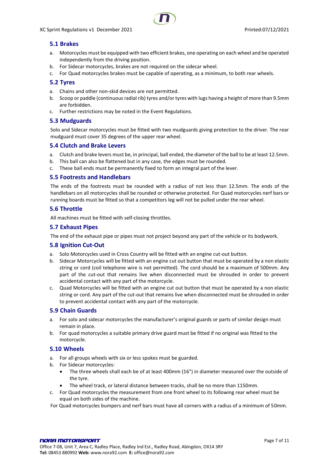# <span id="page-6-0"></span>**5.1 Brakes**

- a. Motorcycles must be equipped with two efficient brakes, one operating on each wheel and be operated independently from the driving position.
- b. For Sidecar motorcycles, brakes are not required on the sidecar wheel.
- c. For Quad motorcycles brakes must be capable of operating, as a minimum, to both rear wheels.

# <span id="page-6-1"></span>**5.2 Tyres**

- a. Chains and other non-skid devices are not permitted.
- b. Scoop or paddle (continuous radial rib) tyres and/or tyres with lugs having a height of more than 9.5mm are forbidden.
- c. Further restrictions may be noted in the Event Regulations.

## <span id="page-6-2"></span>**5.3 Mudguards**

Solo and Sidecar motorcycles must be fitted with two mudguards giving protection to the driver. The rear mudguard must cover 35 degrees of the upper rear wheel.

## <span id="page-6-3"></span>**5.4 Clutch and Brake Levers**

- a. Clutch and brake levers must be, in principal, ball ended, the diameter of the ball to be at least 12.5mm.
- b. This ball can also be flattened but in any case, the edges must be rounded.
- c. These ball ends must be permanently fixed to form an integral part of the lever.

#### <span id="page-6-4"></span>**5.5 Footrests and Handlebars**

The ends of the footrests must be rounded with a radius of not less than 12.5mm. The ends of the handlebars on all motorcycles shall be rounded or otherwise protected. For Quad motorcycles nerf bars or running boards must be fitted so that a competitors leg will not be pulled under the rear wheel.

## <span id="page-6-5"></span>**5.6 Throttle**

All machines must be fitted with self-closing throttles.

#### <span id="page-6-6"></span>**5.7 Exhaust Pipes**

The end of the exhaust pipe or pipes must not project beyond any part of the vehicle or its bodywork.

## <span id="page-6-7"></span>**5.8 Ignition Cut-Out**

- a. Solo Motorcycles used in Cross Country will be fitted with an engine cut-out button.
- b. Sidecar Motorcycles will be fitted with an engine cut out button that must be operated by a non elastic string or cord (coil telephone wire is not permitted). The cord should be a maximum of 500mm. Any part of the cut-out that remains live when disconnected must be shrouded in order to prevent accidental contact with any part of the motorcycle.
- c. Quad Motorcycles will be fitted with an engine cut out button that must be operated by a non elastic string or cord. Any part of the cut-out that remains live when disconnected must be shrouded in order to prevent accidental contact with any part of the motorcycle.

# <span id="page-6-8"></span>**5.9 Chain Guards**

- a. For solo and sidecar motorcycles the manufacturer's original guards or parts of similar design must remain in place.
- b. For quad motorcycles a suitable primary drive guard must be fitted if no original was fitted to the motorcycle.

#### <span id="page-6-9"></span>**5.10 Wheels**

- a. For all groups wheels with six or less spokes must be guarded.
- b. For Sidecar motorcycles:
	- The three wheels shall each be of at least 400mm (16") in diameter measured over the outside of the tyre.
	- The wheel track, or lateral distance between tracks, shall be no more than 1150mm.
- c. For Quad motorcycles the measurement from one front wheel to its following rear wheel must be equal on both sides of the machine.
- For Quad motorcycles bumpers and nerf bars must have all corners with a radius of a minimum of 50mm.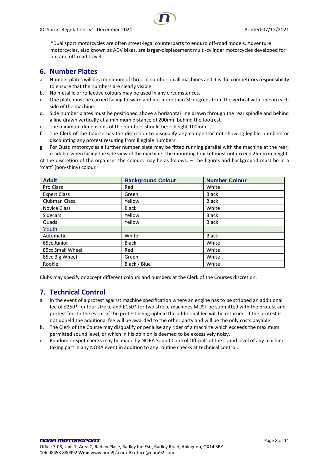XC Sprint Regulations v1 December 2021 **Printed:07/12/2021** Printed:07/12/2021



\*Dual sport motorcycles are often street-legal counterparts to enduro off-road models. Adventure motorcycles, also known as ADV bikes, are larger-displacement multi-cylinder motorcycles developed for on- and off-road travel.

# <span id="page-7-0"></span>**6. Number Plates**

- a. Number plates will be a minimum of three in number on all machines and it is the competitors responsibility to ensure that the numbers are clearly visible.
- b. No metallic or reflective colours may be used in any circumstances.
- c. One plate must be carried facing forward and not more than 30 degrees from the vertical with one on each side of the machine.
- d. Side number plates must be positioned above a horizontal line drawn through the rear spindle and behind a line drawn vertically at a minimum distance of 200mm behind the footrest.
- e. The minimum dimensions of the numbers should be: height 100mm
- f. The Clerk of the Course has the discretion to disqualify any competitor not showing legible numbers or discounting any protest resulting from illegible numbers.
- g. For Quad motorcycles a further number plate may be fitted running parallel with the machine at the rear, readable when facing the side view of the machine. The mounting bracket must not exceed 25mm in height.

At the discretion of the organiser the colours may be as follows: – The figures and background must be in a 'matt' (non-shiny) colour

| <b>Adult</b>         | <b>Background Colour</b> | <b>Number Colour</b> |
|----------------------|--------------------------|----------------------|
| Pro Class            | Red                      | White                |
| <b>Expert Class</b>  | Green                    | <b>Black</b>         |
| <b>Clubman Class</b> | Yellow                   | <b>Black</b>         |
| Novice Class         | <b>Black</b>             | White                |
| <b>Sidecars</b>      | Yellow                   | <b>Black</b>         |
| Quads                | Yellow                   | <b>Black</b>         |
| Youth                |                          |                      |
| Automatic            | White                    | <b>Black</b>         |
| 65cc Junior          | <b>Black</b>             | White                |
| 85cc Small Wheel     | Red                      | White                |
| 85cc Big Wheel       | Green                    | White                |
| Rookie               | Black / Blue             | White                |

<span id="page-7-1"></span>Clubs may specify or accept different colours and numbers at the Clerk of the Courses discretion.

# **7. Technical Control**

- a. In the event of a protest against machine specification where an engine has to be stripped an additional fee of £250\* for four stroke and £150\* for two stroke machines MUST be submitted with the protest and protest fee. In the event of the protest being upheld the additional fee will be returned. If the protest is not upheld the additional fee will be awarded to the other party and will be the only costs payable.
- b. The Clerk of the Course may disqualify or penalise any rider of a machine which exceeds the maximum permitted sound level, or which in his opinion is deemed to be excessively noisy.
- c. Random or spot checks may be made by NORA Sound Control Officials of the sound level of any machine taking part in any NORA event in addition to any routine checks at technical control.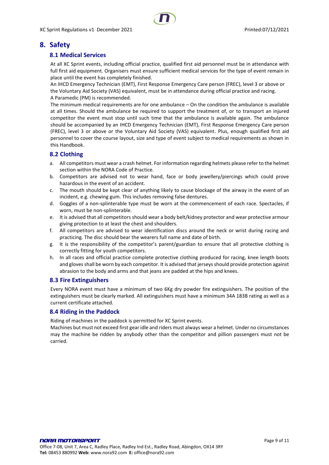# <span id="page-8-1"></span><span id="page-8-0"></span>**8. Safety**

# **8.1 Medical Services**

At all XC Sprint events, including official practice, qualified first aid personnel must be in attendance with full first aid equipment. Organisers must ensure sufficient medical services for the type of event remain in place until the event has completely finished.

An IHCD Emergency Technician (EMT), First Response Emergency Care person (FREC), level 3 or above or the Voluntary Aid Society (VAS) equivalent, must be in attendance during official practice and racing. A Paramedic (PM) is recommended.

The minimum medical requirements are for one ambulance – On the condition the ambulance is available at all times. Should the ambulance be required to support the treatment of, or to transport an injured competitor the event must stop until such time that the ambulance is available again. The ambulance should be accompanied by an IHCD Emergency Technician (EMT), First Response Emergency Care person (FREC), level 3 or above or the Voluntary Aid Society (VAS) equivalent. Plus, enough qualified first aid personnel to cover the course layout, size and type of event subject to medical requirements as shown in this Handbook.

# <span id="page-8-2"></span>**8.2 Clothing**

- a. All competitors must wear a crash helmet. For information regarding helmets please refer to the helmet section within the NORA Code of Practice.
- b. Competitors are advised not to wear hand, face or body jewellery/piercings which could prove hazardous in the event of an accident.
- c. The mouth should be kept clear of anything likely to cause blockage of the airway in the event of an incident, e.g. chewing gum. This includes removing false dentures.
- d. Goggles of a non-splinterable type must be worn at the commencement of each race. Spectacles, if worn, must be non-splinterable.
- e. It is advised that all competitors should wear a body belt/kidney protector and wear protective armour giving protection to at least the chest and shoulders.
- f. All competitors are advised to wear identification discs around the neck or wrist during racing and practicing. The disc should bear the wearers full name and date of birth.
- g. It is the responsibility of the competitor's parent/guardian to ensure that all protective clothing is correctly fitting for youth competitors.
- h. In all races and official practice complete protective clothing produced for racing, knee length boots and gloves shall be worn by each competitor. It is advised that jerseys should provide protection against abrasion to the body and arms and that jeans are padded at the hips and knees.

# <span id="page-8-3"></span>**8.3 Fire Extinguishers**

Every NORA event must have a minimum of two 6Kg dry powder fire extinguishers. The position of the extinguishers must be clearly marked. All extinguishers must have a minimum 34A 183B rating as well as a current certificate attached.

# <span id="page-8-4"></span>**8.4 Riding in the Paddock**

Riding of machines in the paddock is permitted for XC Sprint events.

Machines but must not exceed first gear idle and riders must always wear a helmet. Under no circumstances may the machine be ridden by anybody other than the competitor and pillion passengers must not be carried.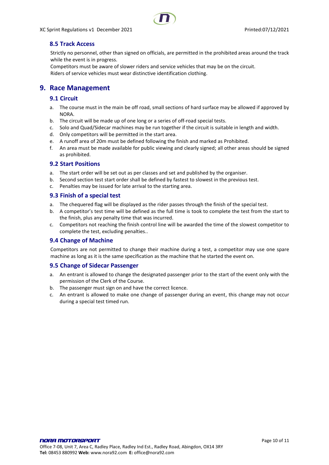# <span id="page-9-0"></span>**8.5 Track Access**

Strictly no personnel, other than signed on officials, are permitted in the prohibited areas around the track while the event is in progress.

Competitors must be aware of slower riders and service vehicles that may be on the circuit. Riders of service vehicles must wear distinctive identification clothing.

# <span id="page-9-2"></span><span id="page-9-1"></span>**9. Race Management**

# **9.1 Circuit**

- a. The course must in the main be off road, small sections of hard surface may be allowed if approved by NORA.
- b. The circuit will be made up of one long or a series of off-road special tests.
- c. Solo and Quad/Sidecar machines may be run together if the circuit is suitable in length and width.
- d. Only competitors will be permitted in the start area.
- e. A runoff area of 20m must be defined following the finish and marked as Prohibited.
- f. An area must be made available for public viewing and clearly signed; all other areas should be signed as prohibited.

## <span id="page-9-3"></span>**9.2 Start Positions**

- a. The start order will be set out as per classes and set and published by the organiser.
- b. Second section test start order shall be defined by fastest to slowest in the previous test.
- c. Penalties may be issued for late arrival to the starting area.

## <span id="page-9-4"></span>**9.3 Finish of a special test**

- a. The chequered flag will be displayed as the rider passes through the finish of the special test.
- b. A competitor's test time will be defined as the full time is took to complete the test from the start to the finish, plus any penalty time that was incurred.
- c. Competitors not reaching the finish control line will be awarded the time of the slowest competitor to complete the test, excluding penalties..

## <span id="page-9-5"></span>**9.4 Change of Machine**

Competitors are not permitted to change their machine during a test, a competitor may use one spare machine as long as it is the same specification as the machine that he started the event on.

## <span id="page-9-6"></span>**9.5 Change of Sidecar Passenger**

- a. An entrant is allowed to change the designated passenger prior to the start of the event only with the permission of the Clerk of the Course.
- b. The passenger must sign on and have the correct licence.
- c. An entrant is allowed to make one change of passenger during an event, this change may not occur during a special test timed run.